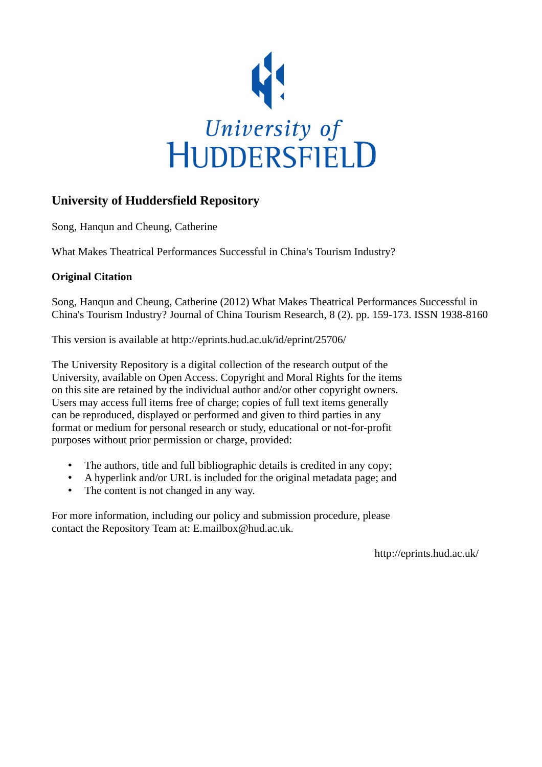

# **University of Huddersfield Repository**

Song, Hanqun and Cheung, Catherine

What Makes Theatrical Performances Successful in China's Tourism Industry?

### **Original Citation**

Song, Hanqun and Cheung, Catherine (2012) What Makes Theatrical Performances Successful in China's Tourism Industry? Journal of China Tourism Research, 8 (2). pp. 159-173. ISSN 1938-8160

This version is available at http://eprints.hud.ac.uk/id/eprint/25706/

The University Repository is a digital collection of the research output of the University, available on Open Access. Copyright and Moral Rights for the items on this site are retained by the individual author and/or other copyright owners. Users may access full items free of charge; copies of full text items generally can be reproduced, displayed or performed and given to third parties in any format or medium for personal research or study, educational or not-for-profit purposes without prior permission or charge, provided:

- The authors, title and full bibliographic details is credited in any copy;
- A hyperlink and/or URL is included for the original metadata page; and
- The content is not changed in any way.

For more information, including our policy and submission procedure, please contact the Repository Team at: E.mailbox@hud.ac.uk.

http://eprints.hud.ac.uk/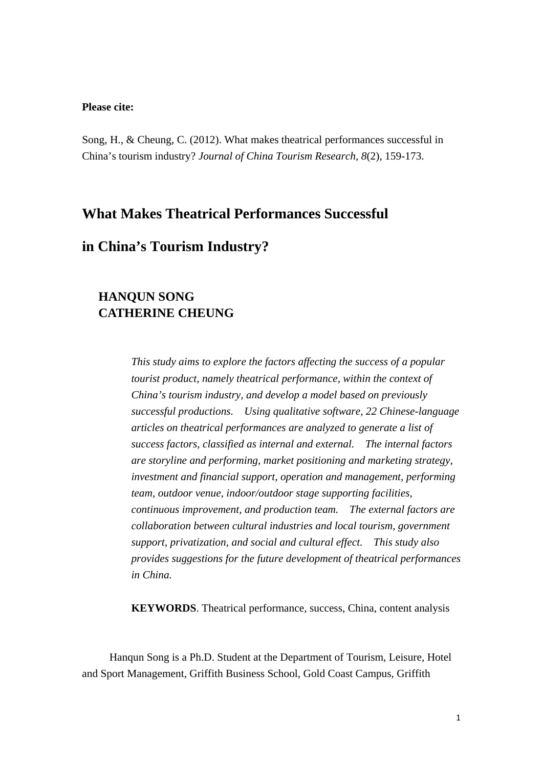#### **Please cite:**

Song, H., & Cheung, C. (2012). What makes theatrical performances successful in China's tourism industry? *Journal of China Tourism Research, 8*(2), 159-173.

## **What Makes Theatrical Performances Successful**

# **in China's Tourism Industry?**

# **HANQUN SONG CATHERINE CHEUNG**

*This study aims to explore the factors affecting the success of a popular tourist product, namely theatrical performance, within the context of China's tourism industry, and develop a model based on previously successful productions. Using qualitative software, 22 Chinese-language articles on theatrical performances are analyzed to generate a list of success factors, classified as internal and external. The internal factors are storyline and performing, market positioning and marketing strategy, investment and financial support, operation and management, performing team, outdoor venue, indoor/outdoor stage supporting facilities, continuous improvement, and production team. The external factors are collaboration between cultural industries and local tourism, government support, privatization, and social and cultural effect. This study also provides suggestions for the future development of theatrical performances in China.* 

**KEYWORDS**. Theatrical performance, success, China, content analysis

 Hanqun Song is a Ph.D. Student at the Department of Tourism, Leisure, Hotel and Sport Management, Griffith Business School, Gold Coast Campus, Griffith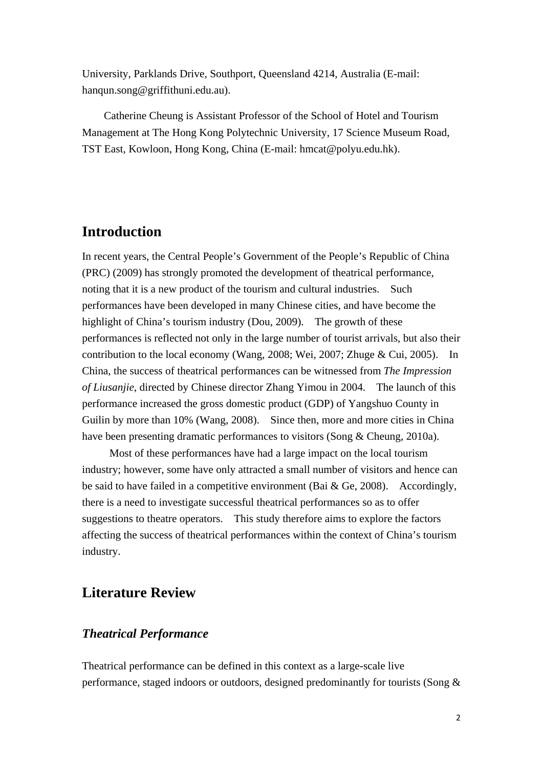University, Parklands Drive, Southport, Queensland 4214, Australia (E-mail: hanqun.song@griffithuni.edu.au).

 Catherine Cheung is Assistant Professor of the School of Hotel and Tourism Management at The Hong Kong Polytechnic University, 17 Science Museum Road, TST East, Kowloon, Hong Kong, China (E-mail: hmcat@polyu.edu.hk).

# **Introduction**

In recent years, the Central People's Government of the People's Republic of China (PRC) (2009) has strongly promoted the development of theatrical performance, noting that it is a new product of the tourism and cultural industries. Such performances have been developed in many Chinese cities, and have become the highlight of China's tourism industry (Dou, 2009). The growth of these performances is reflected not only in the large number of tourist arrivals, but also their contribution to the local economy (Wang, 2008; Wei, 2007; Zhuge & Cui, 2005). In China, the success of theatrical performances can be witnessed from *The Impression of Liusanjie*, directed by Chinese director Zhang Yimou in 2004. The launch of this performance increased the gross domestic product (GDP) of Yangshuo County in Guilin by more than 10% (Wang, 2008). Since then, more and more cities in China have been presenting dramatic performances to visitors (Song & Cheung, 2010a).

 Most of these performances have had a large impact on the local tourism industry; however, some have only attracted a small number of visitors and hence can be said to have failed in a competitive environment (Bai  $\&$  Ge, 2008). Accordingly, there is a need to investigate successful theatrical performances so as to offer suggestions to theatre operators. This study therefore aims to explore the factors affecting the success of theatrical performances within the context of China's tourism industry.

# **Literature Review**

## *Theatrical Performance*

Theatrical performance can be defined in this context as a large-scale live performance, staged indoors or outdoors, designed predominantly for tourists (Song &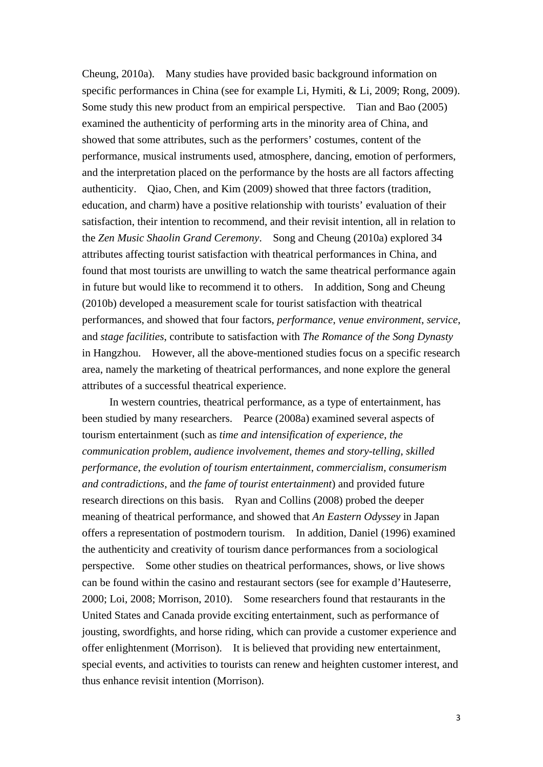Cheung, 2010a). Many studies have provided basic background information on specific performances in China (see for example Li, Hymiti, & Li, 2009; Rong, 2009). Some study this new product from an empirical perspective. Tian and Bao (2005) examined the authenticity of performing arts in the minority area of China, and showed that some attributes, such as the performers' costumes, content of the performance, musical instruments used, atmosphere, dancing, emotion of performers, and the interpretation placed on the performance by the hosts are all factors affecting authenticity. Qiao, Chen, and Kim (2009) showed that three factors (tradition, education, and charm) have a positive relationship with tourists' evaluation of their satisfaction, their intention to recommend, and their revisit intention, all in relation to the *Zen Music Shaolin Grand Ceremony*. Song and Cheung (2010a) explored 34 attributes affecting tourist satisfaction with theatrical performances in China, and found that most tourists are unwilling to watch the same theatrical performance again in future but would like to recommend it to others. In addition, Song and Cheung (2010b) developed a measurement scale for tourist satisfaction with theatrical performances, and showed that four factors, *performance*, *venue environment*, *service*, and *stage facilities*, contribute to satisfaction with *The Romance of the Song Dynasty* in Hangzhou. However, all the above-mentioned studies focus on a specific research area, namely the marketing of theatrical performances, and none explore the general attributes of a successful theatrical experience.

 In western countries, theatrical performance, as a type of entertainment, has been studied by many researchers. Pearce (2008a) examined several aspects of tourism entertainment (such as *time and intensification of experience*, *the communication problem*, *audience involvement*, *themes and story-telling*, *skilled performance*, *the evolution of tourism entertainment*, *commercialism, consumerism and contradictions*, and *the fame of tourist entertainment*) and provided future research directions on this basis. Ryan and Collins (2008) probed the deeper meaning of theatrical performance, and showed that *An Eastern Odyssey* in Japan offers a representation of postmodern tourism. In addition, Daniel (1996) examined the authenticity and creativity of tourism dance performances from a sociological perspective. Some other studies on theatrical performances, shows, or live shows can be found within the casino and restaurant sectors (see for example d'Hauteserre, 2000; Loi, 2008; Morrison, 2010). Some researchers found that restaurants in the United States and Canada provide exciting entertainment, such as performance of jousting, swordfights, and horse riding, which can provide a customer experience and offer enlightenment (Morrison). It is believed that providing new entertainment, special events, and activities to tourists can renew and heighten customer interest, and thus enhance revisit intention (Morrison).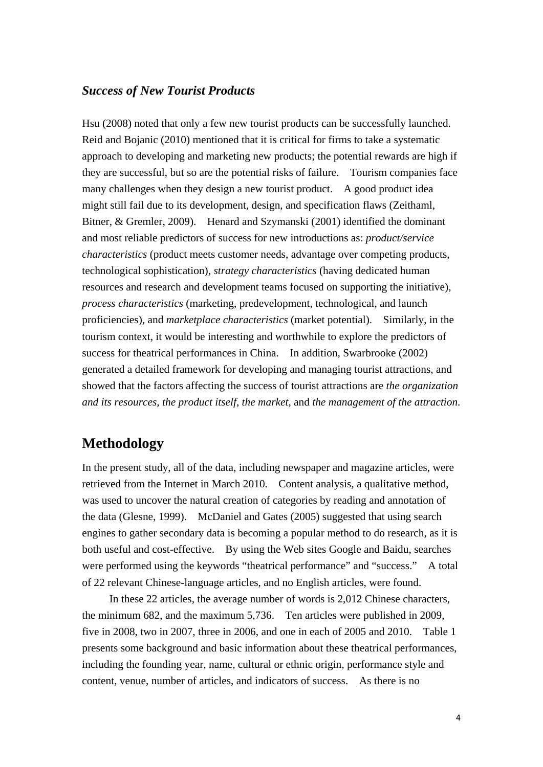### *Success of New Tourist Products*

Hsu (2008) noted that only a few new tourist products can be successfully launched. Reid and Bojanic (2010) mentioned that it is critical for firms to take a systematic approach to developing and marketing new products; the potential rewards are high if they are successful, but so are the potential risks of failure. Tourism companies face many challenges when they design a new tourist product. A good product idea might still fail due to its development, design, and specification flaws (Zeithaml, Bitner, & Gremler, 2009). Henard and Szymanski (2001) identified the dominant and most reliable predictors of success for new introductions as: *product/service characteristics* (product meets customer needs, advantage over competing products, technological sophistication), *strategy characteristics* (having dedicated human resources and research and development teams focused on supporting the initiative), *process characteristics* (marketing, predevelopment, technological, and launch proficiencies), and *marketplace characteristics* (market potential). Similarly, in the tourism context, it would be interesting and worthwhile to explore the predictors of success for theatrical performances in China. In addition, Swarbrooke (2002) generated a detailed framework for developing and managing tourist attractions, and showed that the factors affecting the success of tourist attractions are *the organization and its resources, the product itself, the market*, and *the management of the attraction*.

# **Methodology**

In the present study, all of the data, including newspaper and magazine articles, were retrieved from the Internet in March 2010. Content analysis, a qualitative method, was used to uncover the natural creation of categories by reading and annotation of the data (Glesne, 1999). McDaniel and Gates (2005) suggested that using search engines to gather secondary data is becoming a popular method to do research, as it is both useful and cost-effective. By using the Web sites Google and Baidu, searches were performed using the keywords "theatrical performance" and "success." A total of 22 relevant Chinese-language articles, and no English articles, were found.

 In these 22 articles, the average number of words is 2,012 Chinese characters, the minimum 682, and the maximum 5,736. Ten articles were published in 2009, five in 2008, two in 2007, three in 2006, and one in each of 2005 and 2010. Table 1 presents some background and basic information about these theatrical performances, including the founding year, name, cultural or ethnic origin, performance style and content, venue, number of articles, and indicators of success. As there is no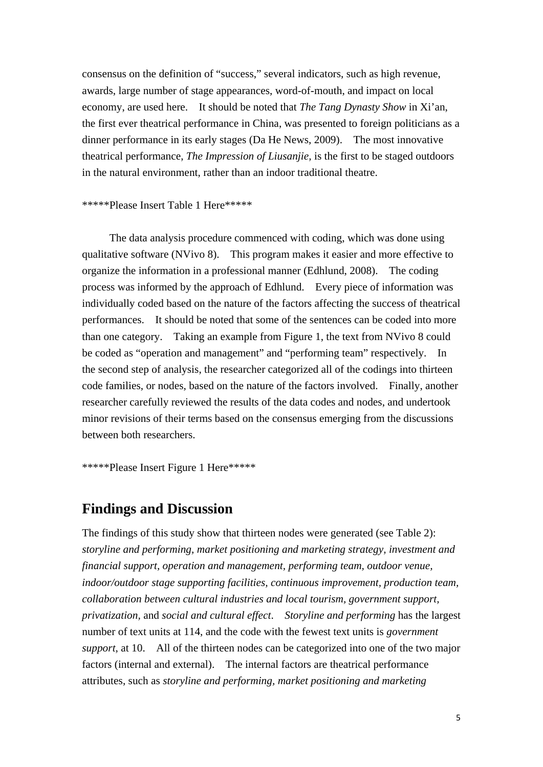consensus on the definition of "success," several indicators, such as high revenue, awards, large number of stage appearances, word-of-mouth, and impact on local economy, are used here. It should be noted that *The Tang Dynasty Show* in Xi'an, the first ever theatrical performance in China, was presented to foreign politicians as a dinner performance in its early stages (Da He News, 2009). The most innovative theatrical performance, *The Impression of Liusanjie,* is the first to be staged outdoors in the natural environment, rather than an indoor traditional theatre.

\*\*\*\*\*Please Insert Table 1 Here\*\*\*\*\*

 The data analysis procedure commenced with coding, which was done using qualitative software (NVivo 8). This program makes it easier and more effective to organize the information in a professional manner (Edhlund, 2008). The coding process was informed by the approach of Edhlund. Every piece of information was individually coded based on the nature of the factors affecting the success of theatrical performances. It should be noted that some of the sentences can be coded into more than one category. Taking an example from Figure 1, the text from NVivo 8 could be coded as "operation and management" and "performing team" respectively. In the second step of analysis, the researcher categorized all of the codings into thirteen code families, or nodes, based on the nature of the factors involved. Finally, another researcher carefully reviewed the results of the data codes and nodes, and undertook minor revisions of their terms based on the consensus emerging from the discussions between both researchers.

\*\*\*\*\*Please Insert Figure 1 Here\*\*\*\*\*

## **Findings and Discussion**

The findings of this study show that thirteen nodes were generated (see Table 2): *storyline and performing, market positioning and marketing strategy, investment and financial support, operation and management, performing team, outdoor venue, indoor/outdoor stage supporting facilities, continuous improvement, production team, collaboration between cultural industries and local tourism, government support, privatization,* and *social and cultural effect*. *Storyline and performing* has the largest number of text units at 114, and the code with the fewest text units is *government support*, at 10. All of the thirteen nodes can be categorized into one of the two major factors (internal and external). The internal factors are theatrical performance attributes, such as *storyline and performing, market positioning and marketing*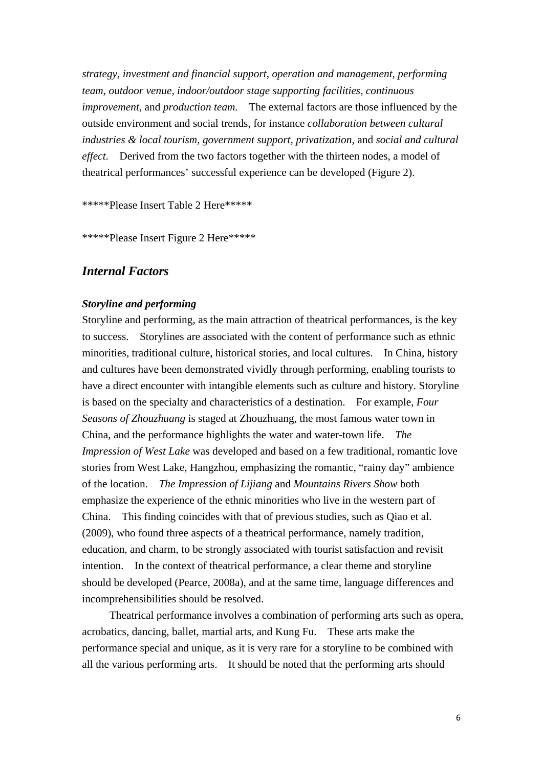*strategy, investment and financial support, operation and management, performing team, outdoor venue, indoor/outdoor stage supporting facilities, continuous improvement,* and *production team.* The external factors are those influenced by the outside environment and social trends, for instance *collaboration between cultural industries & local tourism, government support, privatization,* and *social and cultural effect*. Derived from the two factors together with the thirteen nodes, a model of theatrical performances' successful experience can be developed (Figure 2).

\*\*\*\*\*Please Insert Table 2 Here\*\*\*\*\*

\*\*\*\*\*Please Insert Figure 2 Here\*\*\*\*\*

### *Internal Factors*

#### *Storyline and performing*

Storyline and performing, as the main attraction of theatrical performances, is the key to success. Storylines are associated with the content of performance such as ethnic minorities, traditional culture, historical stories, and local cultures. In China, history and cultures have been demonstrated vividly through performing, enabling tourists to have a direct encounter with intangible elements such as culture and history. Storyline is based on the specialty and characteristics of a destination. For example, *Four Seasons of Zhouzhuang* is staged at Zhouzhuang, the most famous water town in China, and the performance highlights the water and water-town life. *The Impression of West Lake* was developed and based on a few traditional, romantic love stories from West Lake, Hangzhou, emphasizing the romantic, "rainy day" ambience of the location. *The Impression of Lijiang* and *Mountains Rivers Show* both emphasize the experience of the ethnic minorities who live in the western part of China. This finding coincides with that of previous studies, such as Qiao et al. (2009), who found three aspects of a theatrical performance, namely tradition, education, and charm, to be strongly associated with tourist satisfaction and revisit intention. In the context of theatrical performance, a clear theme and storyline should be developed (Pearce, 2008a), and at the same time, language differences and incomprehensibilities should be resolved.

 Theatrical performance involves a combination of performing arts such as opera, acrobatics, dancing, ballet, martial arts, and Kung Fu. These arts make the performance special and unique, as it is very rare for a storyline to be combined with all the various performing arts. It should be noted that the performing arts should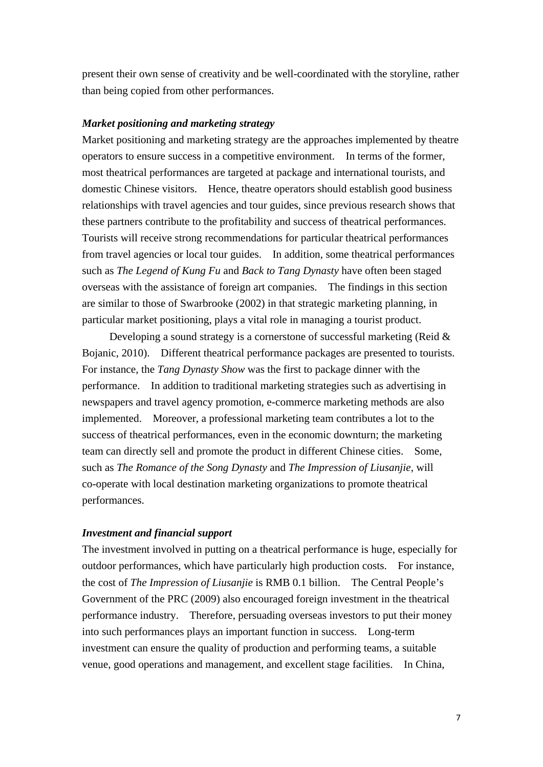present their own sense of creativity and be well-coordinated with the storyline, rather than being copied from other performances.

#### *Market positioning and marketing strategy*

Market positioning and marketing strategy are the approaches implemented by theatre operators to ensure success in a competitive environment. In terms of the former, most theatrical performances are targeted at package and international tourists, and domestic Chinese visitors. Hence, theatre operators should establish good business relationships with travel agencies and tour guides, since previous research shows that these partners contribute to the profitability and success of theatrical performances. Tourists will receive strong recommendations for particular theatrical performances from travel agencies or local tour guides. In addition, some theatrical performances such as *The Legend of Kung Fu* and *Back to Tang Dynasty* have often been staged overseas with the assistance of foreign art companies. The findings in this section are similar to those of Swarbrooke (2002) in that strategic marketing planning, in particular market positioning, plays a vital role in managing a tourist product.

Developing a sound strategy is a cornerstone of successful marketing (Reid  $\&$ Bojanic, 2010). Different theatrical performance packages are presented to tourists. For instance, the *Tang Dynasty Show* was the first to package dinner with the performance. In addition to traditional marketing strategies such as advertising in newspapers and travel agency promotion, e-commerce marketing methods are also implemented. Moreover, a professional marketing team contributes a lot to the success of theatrical performances, even in the economic downturn; the marketing team can directly sell and promote the product in different Chinese cities. Some, such as *The Romance of the Song Dynasty* and *The Impression of Liusanjie*, will co-operate with local destination marketing organizations to promote theatrical performances.

#### *Investment and financial support*

The investment involved in putting on a theatrical performance is huge, especially for outdoor performances, which have particularly high production costs. For instance, the cost of *The Impression of Liusanjie* is RMB 0.1 billion. The Central People's Government of the PRC (2009) also encouraged foreign investment in the theatrical performance industry. Therefore, persuading overseas investors to put their money into such performances plays an important function in success. Long-term investment can ensure the quality of production and performing teams, a suitable venue, good operations and management, and excellent stage facilities. In China,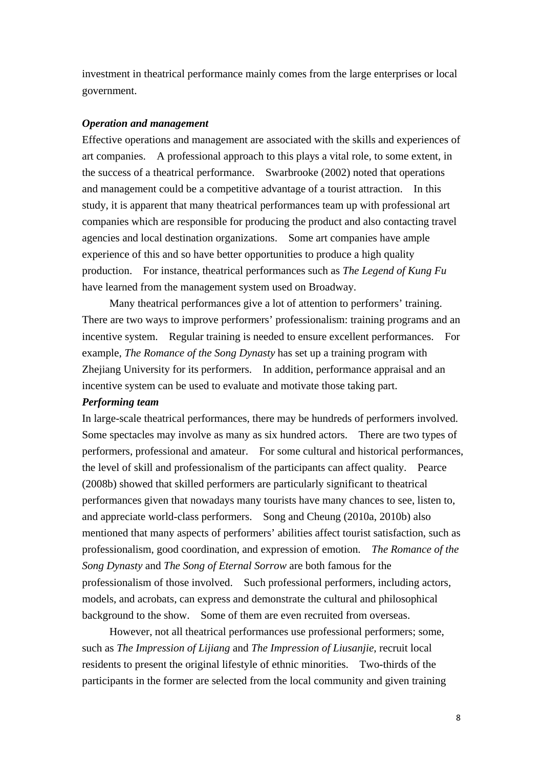investment in theatrical performance mainly comes from the large enterprises or local government.

#### *Operation and management*

Effective operations and management are associated with the skills and experiences of art companies. A professional approach to this plays a vital role, to some extent, in the success of a theatrical performance. Swarbrooke (2002) noted that operations and management could be a competitive advantage of a tourist attraction. In this study, it is apparent that many theatrical performances team up with professional art companies which are responsible for producing the product and also contacting travel agencies and local destination organizations. Some art companies have ample experience of this and so have better opportunities to produce a high quality production. For instance, theatrical performances such as *The Legend of Kung Fu* have learned from the management system used on Broadway.

 Many theatrical performances give a lot of attention to performers' training. There are two ways to improve performers' professionalism: training programs and an incentive system. Regular training is needed to ensure excellent performances. For example, *The Romance of the Song Dynasty* has set up a training program with Zhejiang University for its performers. In addition, performance appraisal and an incentive system can be used to evaluate and motivate those taking part.

#### *Performing team*

In large-scale theatrical performances, there may be hundreds of performers involved. Some spectacles may involve as many as six hundred actors. There are two types of performers, professional and amateur. For some cultural and historical performances, the level of skill and professionalism of the participants can affect quality. Pearce (2008b) showed that skilled performers are particularly significant to theatrical performances given that nowadays many tourists have many chances to see, listen to, and appreciate world-class performers. Song and Cheung (2010a, 2010b) also mentioned that many aspects of performers' abilities affect tourist satisfaction, such as professionalism, good coordination, and expression of emotion. *The Romance of the Song Dynasty* and *The Song of Eternal Sorrow* are both famous for the professionalism of those involved. Such professional performers, including actors, models, and acrobats, can express and demonstrate the cultural and philosophical background to the show. Some of them are even recruited from overseas.

 However, not all theatrical performances use professional performers; some, such as *The Impression of Lijiang* and *The Impression of Liusanjie*, recruit local residents to present the original lifestyle of ethnic minorities. Two-thirds of the participants in the former are selected from the local community and given training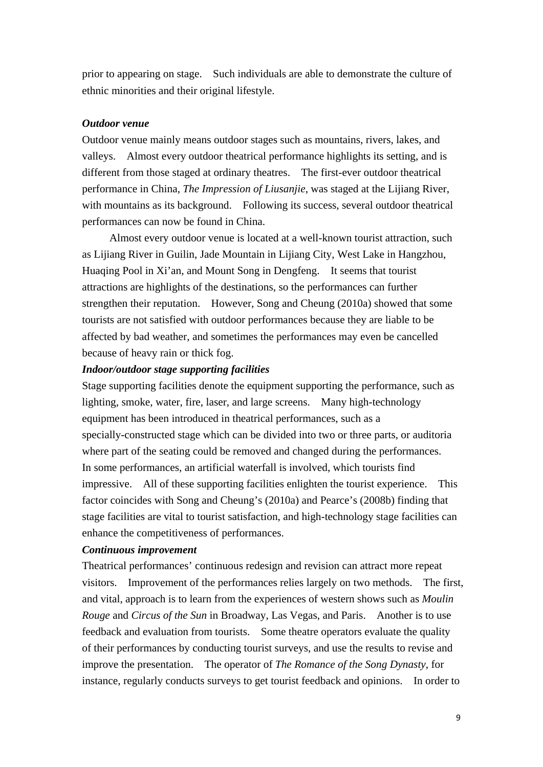prior to appearing on stage. Such individuals are able to demonstrate the culture of ethnic minorities and their original lifestyle.

#### *Outdoor venue*

Outdoor venue mainly means outdoor stages such as mountains, rivers, lakes, and valleys. Almost every outdoor theatrical performance highlights its setting, and is different from those staged at ordinary theatres. The first-ever outdoor theatrical performance in China, *The Impression of Liusanjie*, was staged at the Lijiang River, with mountains as its background. Following its success, several outdoor theatrical performances can now be found in China.

 Almost every outdoor venue is located at a well-known tourist attraction, such as Lijiang River in Guilin, Jade Mountain in Lijiang City, West Lake in Hangzhou, Huaqing Pool in Xi'an, and Mount Song in Dengfeng. It seems that tourist attractions are highlights of the destinations, so the performances can further strengthen their reputation. However, Song and Cheung (2010a) showed that some tourists are not satisfied with outdoor performances because they are liable to be affected by bad weather, and sometimes the performances may even be cancelled because of heavy rain or thick fog.

#### *Indoor/outdoor stage supporting facilities*

Stage supporting facilities denote the equipment supporting the performance, such as lighting, smoke, water, fire, laser, and large screens. Many high-technology equipment has been introduced in theatrical performances, such as a specially-constructed stage which can be divided into two or three parts, or auditoria where part of the seating could be removed and changed during the performances. In some performances, an artificial waterfall is involved, which tourists find impressive. All of these supporting facilities enlighten the tourist experience. This factor coincides with Song and Cheung's (2010a) and Pearce's (2008b) finding that stage facilities are vital to tourist satisfaction, and high-technology stage facilities can enhance the competitiveness of performances.

#### *Continuous improvement*

Theatrical performances' continuous redesign and revision can attract more repeat visitors. Improvement of the performances relies largely on two methods. The first, and vital, approach is to learn from the experiences of western shows such as *Moulin Rouge* and *Circus of the Sun* in Broadway, Las Vegas, and Paris. Another is to use feedback and evaluation from tourists. Some theatre operators evaluate the quality of their performances by conducting tourist surveys, and use the results to revise and improve the presentation. The operator of *The Romance of the Song Dynasty*, for instance, regularly conducts surveys to get tourist feedback and opinions. In order to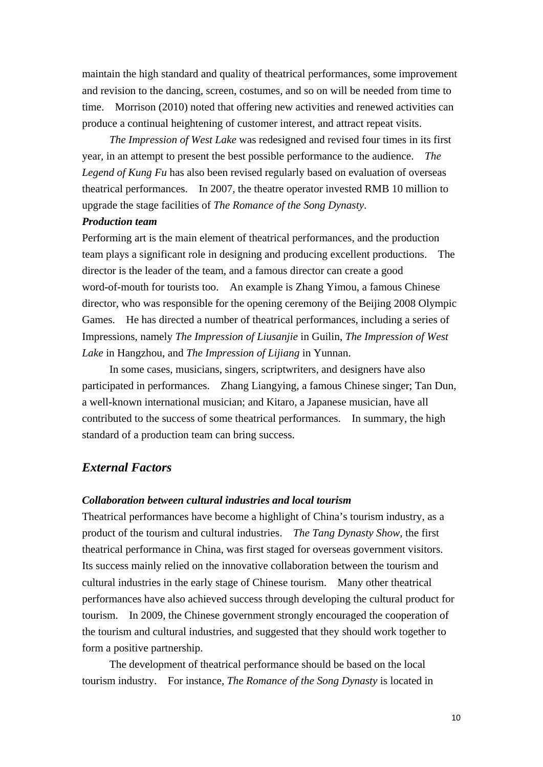maintain the high standard and quality of theatrical performances, some improvement and revision to the dancing, screen, costumes, and so on will be needed from time to time. Morrison (2010) noted that offering new activities and renewed activities can produce a continual heightening of customer interest, and attract repeat visits.

 *The Impression of West Lake* was redesigned and revised four times in its first year, in an attempt to present the best possible performance to the audience. *The Legend of Kung Fu* has also been revised regularly based on evaluation of overseas theatrical performances. In 2007, the theatre operator invested RMB 10 million to upgrade the stage facilities of *The Romance of the Song Dynasty*.

#### *Production team*

Performing art is the main element of theatrical performances, and the production team plays a significant role in designing and producing excellent productions. The director is the leader of the team, and a famous director can create a good word-of-mouth for tourists too. An example is Zhang Yimou, a famous Chinese director, who was responsible for the opening ceremony of the Beijing 2008 Olympic Games. He has directed a number of theatrical performances, including a series of Impressions, namely *The Impression of Liusanjie* in Guilin, *The Impression of West Lake* in Hangzhou, and *The Impression of Lijiang* in Yunnan.

 In some cases, musicians, singers, scriptwriters, and designers have also participated in performances. Zhang Liangying, a famous Chinese singer; Tan Dun, a well-known international musician; and Kitaro, a Japanese musician, have all contributed to the success of some theatrical performances. In summary, the high standard of a production team can bring success.

### *External Factors*

### *Collaboration between cultural industries and local tourism*

Theatrical performances have become a highlight of China's tourism industry, as a product of the tourism and cultural industries. *The Tang Dynasty Show*, the first theatrical performance in China, was first staged for overseas government visitors. Its success mainly relied on the innovative collaboration between the tourism and cultural industries in the early stage of Chinese tourism. Many other theatrical performances have also achieved success through developing the cultural product for tourism. In 2009, the Chinese government strongly encouraged the cooperation of the tourism and cultural industries, and suggested that they should work together to form a positive partnership.

 The development of theatrical performance should be based on the local tourism industry. For instance, *The Romance of the Song Dynasty* is located in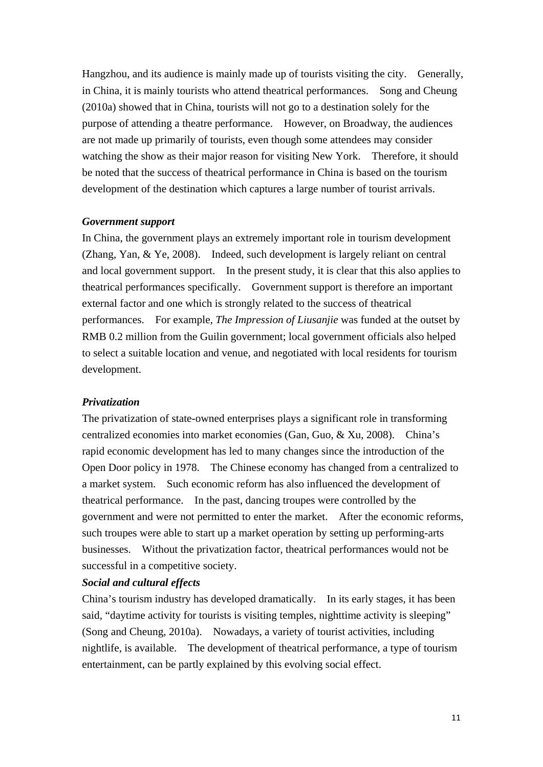Hangzhou, and its audience is mainly made up of tourists visiting the city. Generally, in China, it is mainly tourists who attend theatrical performances. Song and Cheung (2010a) showed that in China, tourists will not go to a destination solely for the purpose of attending a theatre performance. However, on Broadway, the audiences are not made up primarily of tourists, even though some attendees may consider watching the show as their major reason for visiting New York. Therefore, it should be noted that the success of theatrical performance in China is based on the tourism development of the destination which captures a large number of tourist arrivals.

#### *Government support*

In China, the government plays an extremely important role in tourism development (Zhang, Yan, & Ye, 2008). Indeed, such development is largely reliant on central and local government support. In the present study, it is clear that this also applies to theatrical performances specifically. Government support is therefore an important external factor and one which is strongly related to the success of theatrical performances. For example, *The Impression of Liusanjie* was funded at the outset by RMB 0.2 million from the Guilin government; local government officials also helped to select a suitable location and venue, and negotiated with local residents for tourism development.

#### *Privatization*

The privatization of state-owned enterprises plays a significant role in transforming centralized economies into market economies (Gan, Guo, & Xu, 2008). China's rapid economic development has led to many changes since the introduction of the Open Door policy in 1978. The Chinese economy has changed from a centralized to a market system. Such economic reform has also influenced the development of theatrical performance. In the past, dancing troupes were controlled by the government and were not permitted to enter the market. After the economic reforms, such troupes were able to start up a market operation by setting up performing-arts businesses. Without the privatization factor, theatrical performances would not be successful in a competitive society.

#### *Social and cultural effects*

China's tourism industry has developed dramatically. In its early stages, it has been said, "daytime activity for tourists is visiting temples, nighttime activity is sleeping" (Song and Cheung, 2010a). Nowadays, a variety of tourist activities, including nightlife, is available. The development of theatrical performance, a type of tourism entertainment, can be partly explained by this evolving social effect.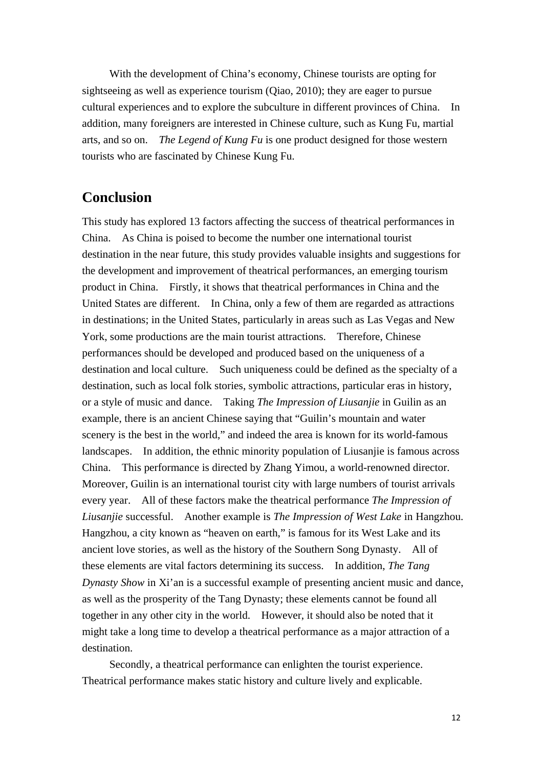With the development of China's economy, Chinese tourists are opting for sightseeing as well as experience tourism (Qiao, 2010); they are eager to pursue cultural experiences and to explore the subculture in different provinces of China. In addition, many foreigners are interested in Chinese culture, such as Kung Fu, martial arts, and so on. *The Legend of Kung Fu* is one product designed for those western tourists who are fascinated by Chinese Kung Fu.

## **Conclusion**

This study has explored 13 factors affecting the success of theatrical performances in China. As China is poised to become the number one international tourist destination in the near future, this study provides valuable insights and suggestions for the development and improvement of theatrical performances, an emerging tourism product in China. Firstly, it shows that theatrical performances in China and the United States are different. In China, only a few of them are regarded as attractions in destinations; in the United States, particularly in areas such as Las Vegas and New York, some productions are the main tourist attractions. Therefore, Chinese performances should be developed and produced based on the uniqueness of a destination and local culture. Such uniqueness could be defined as the specialty of a destination, such as local folk stories, symbolic attractions, particular eras in history, or a style of music and dance. Taking *The Impression of Liusanjie* in Guilin as an example, there is an ancient Chinese saying that "Guilin's mountain and water scenery is the best in the world," and indeed the area is known for its world-famous landscapes. In addition, the ethnic minority population of Liusanjie is famous across China. This performance is directed by Zhang Yimou, a world-renowned director. Moreover, Guilin is an international tourist city with large numbers of tourist arrivals every year. All of these factors make the theatrical performance *The Impression of Liusanjie* successful. Another example is *The Impression of West Lake* in Hangzhou. Hangzhou, a city known as "heaven on earth," is famous for its West Lake and its ancient love stories, as well as the history of the Southern Song Dynasty. All of these elements are vital factors determining its success. In addition, *The Tang Dynasty Show* in Xi'an is a successful example of presenting ancient music and dance, as well as the prosperity of the Tang Dynasty; these elements cannot be found all together in any other city in the world. However, it should also be noted that it might take a long time to develop a theatrical performance as a major attraction of a destination.

 Secondly, a theatrical performance can enlighten the tourist experience. Theatrical performance makes static history and culture lively and explicable.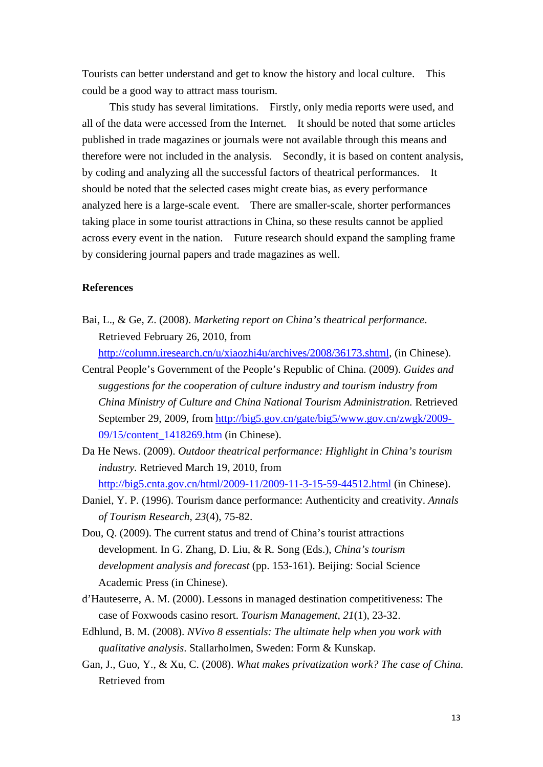Tourists can better understand and get to know the history and local culture. This could be a good way to attract mass tourism.

 This study has several limitations. Firstly, only media reports were used, and all of the data were accessed from the Internet. It should be noted that some articles published in trade magazines or journals were not available through this means and therefore were not included in the analysis. Secondly, it is based on content analysis, by coding and analyzing all the successful factors of theatrical performances. It should be noted that the selected cases might create bias, as every performance analyzed here is a large-scale event. There are smaller-scale, shorter performances taking place in some tourist attractions in China, so these results cannot be applied across every event in the nation. Future research should expand the sampling frame by considering journal papers and trade magazines as well.

### **References**

Bai, L., & Ge, Z. (2008). *Marketing report on China's theatrical performance*. Retrieved February 26, 2010, from

http://column.iresearch.cn/u/xiaozhi4u/archives/2008/36173.shtml, (in Chinese).

- Central People's Government of the People's Republic of China. (2009). *Guides and suggestions for the cooperation of culture industry and tourism industry from China Ministry of Culture and China National Tourism Administration.* Retrieved September 29, 2009, from http://big5.gov.cn/gate/big5/www.gov.cn/zwgk/2009- 09/15/content\_1418269.htm (in Chinese).
- Da He News. (2009). *Outdoor theatrical performance: Highlight in China's tourism industry.* Retrieved March 19, 2010, from http://big5.cnta.gov.cn/html/2009-11/2009-11-3-15-59-44512.html (in Chinese).
- Daniel, Y. P. (1996). Tourism dance performance: Authenticity and creativity. *Annals of Tourism Research*, *23*(4), 75-82.
- Dou, Q. (2009). The current status and trend of China's tourist attractions development. In G. Zhang, D. Liu, & R. Song (Eds.), *China's tourism development analysis and forecast* (pp. 153-161). Beijing: Social Science Academic Press (in Chinese).
- d'Hauteserre, A. M. (2000). Lessons in managed destination competitiveness: The case of Foxwoods casino resort. *Tourism Management*, *21*(1), 23-32.
- Edhlund, B. M. (2008). *NVivo 8 essentials: The ultimate help when you work with qualitative analysis*. Stallarholmen, Sweden: Form & Kunskap.
- Gan, J., Guo, Y., & Xu, C. (2008). *What makes privatization work? The case of China.* Retrieved from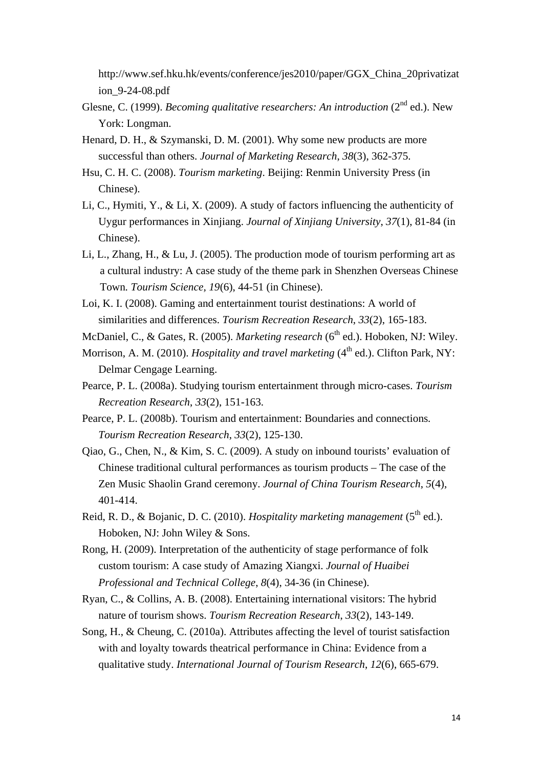http://www.sef.hku.hk/events/conference/jes2010/paper/GGX\_China\_20privatizat ion\_9-24-08.pdf

- Glesne, C. (1999). *Becoming qualitative researchers: An introduction* (2<sup>nd</sup> ed.). New York: Longman.
- Henard, D. H., & Szymanski, D. M. (2001). Why some new products are more successful than others. *Journal of Marketing Research*, *38*(3), 362-375.
- Hsu, C. H. C. (2008). *Tourism marketing*. Beijing: Renmin University Press (in Chinese).
- Li, C., Hymiti, Y., & Li, X. (2009). A study of factors influencing the authenticity of Uygur performances in Xinjiang. *Journal of Xinjiang University*, *37*(1), 81-84 (in Chinese).
- Li, L., Zhang, H., & Lu, J. (2005). The production mode of tourism performing art as a cultural industry: A case study of the theme park in Shenzhen Overseas Chinese Town*. Tourism Science, 19*(6), 44-51 (in Chinese).
- Loi, K. I. (2008). Gaming and entertainment tourist destinations: A world of similarities and differences. *Tourism Recreation Research*, *33*(2), 165-183.
- McDaniel, C., & Gates, R. (2005). *Marketing research* (6<sup>th</sup> ed.). Hoboken, NJ: Wiley.
- Morrison, A. M. (2010). *Hospitality and travel marketing* (4<sup>th</sup> ed.). Clifton Park, NY: Delmar Cengage Learning.
- Pearce, P. L. (2008a). Studying tourism entertainment through micro-cases. *Tourism Recreation Research*, *33*(2), 151-163.
- Pearce, P. L. (2008b). Tourism and entertainment: Boundaries and connections*. Tourism Recreation Research*, *33*(2), 125-130.
- Qiao, G., Chen, N., & Kim, S. C. (2009). A study on inbound tourists' evaluation of Chinese traditional cultural performances as tourism products – The case of the Zen Music Shaolin Grand ceremony. *Journal of China Tourism Research*, *5*(4), 401-414.
- Reid, R. D., & Bojanic, D. C. (2010). *Hospitality marketing management* (5<sup>th</sup> ed.). Hoboken, NJ: John Wiley & Sons.
- Rong, H. (2009). Interpretation of the authenticity of stage performance of folk custom tourism: A case study of Amazing Xiangxi. *Journal of Huaibei Professional and Technical College*, *8*(4), 34-36 (in Chinese).
- Ryan, C., & Collins, A. B. (2008). Entertaining international visitors: The hybrid nature of tourism shows. *Tourism Recreation Research*, *33*(2), 143-149.
- Song, H., & Cheung, C. (2010a). Attributes affecting the level of tourist satisfaction with and loyalty towards theatrical performance in China: Evidence from a qualitative study. *International Journal of Tourism Research*, *12*(6), 665-679.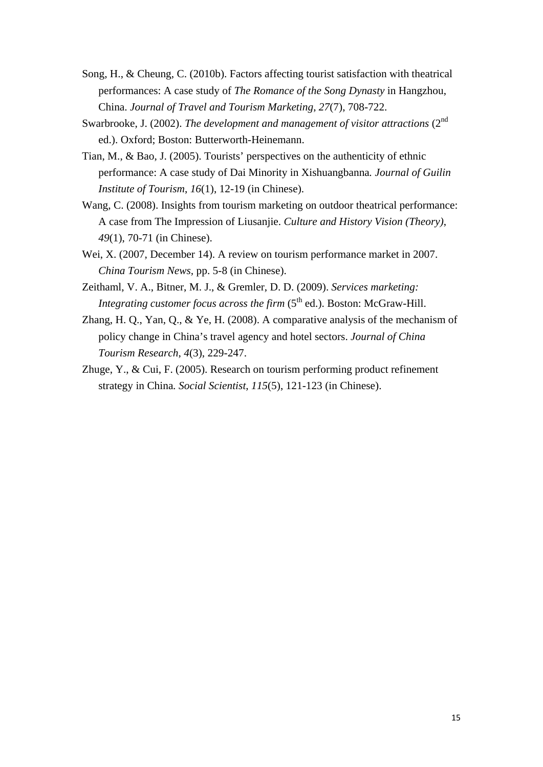- Song, H., & Cheung, C. (2010b). Factors affecting tourist satisfaction with theatrical performances: A case study of *The Romance of the Song Dynasty* in Hangzhou, China. *Journal of Travel and Tourism Marketing*, *27*(7), 708-722.
- Swarbrooke, J. (2002). *The development and management of visitor attractions* (2nd ed.). Oxford; Boston: Butterworth-Heinemann.
- Tian, M., & Bao, J. (2005). Tourists' perspectives on the authenticity of ethnic performance: A case study of Dai Minority in Xishuangbanna*. Journal of Guilin Institute of Tourism*, *16*(1), 12-19 (in Chinese).
- Wang, C. (2008). Insights from tourism marketing on outdoor theatrical performance: A case from The Impression of Liusanjie. *Culture and History Vision (Theory)*, *49*(1), 70-71 (in Chinese).
- Wei, X. (2007, December 14). A review on tourism performance market in 2007. *China Tourism News,* pp. 5-8 (in Chinese).
- Zeithaml, V. A., Bitner, M. J., & Gremler, D. D. (2009). *Services marketing: Integrating customer focus across the firm* (5<sup>th</sup> ed.). Boston: McGraw-Hill.
- Zhang, H. Q., Yan, Q., & Ye, H. (2008). A comparative analysis of the mechanism of policy change in China's travel agency and hotel sectors. *Journal of China Tourism Research*, *4*(3), 229-247.
- Zhuge, Y., & Cui, F. (2005). Research on tourism performing product refinement strategy in China*. Social Scientist*, *115*(5), 121-123 (in Chinese).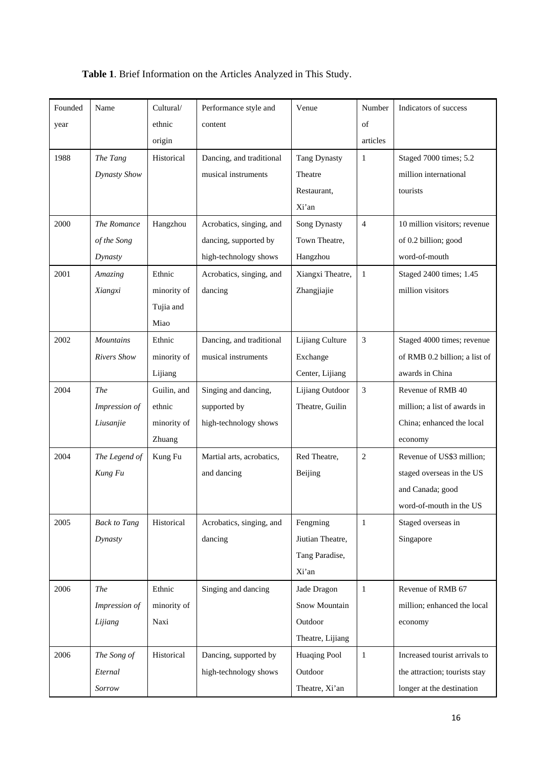| Founded | Name                | Cultural/   | Performance style and     | Venue               | Number         | Indicators of success         |
|---------|---------------------|-------------|---------------------------|---------------------|----------------|-------------------------------|
| year    |                     | ethnic      | content                   |                     | of             |                               |
|         |                     | origin      |                           |                     | articles       |                               |
| 1988    | The Tang            | Historical  | Dancing, and traditional  | <b>Tang Dynasty</b> | $\mathbf{1}$   | Staged 7000 times; 5.2        |
|         | Dynasty Show        |             | musical instruments       | Theatre             |                | million international         |
|         |                     |             |                           | Restaurant,         |                | tourists                      |
|         |                     |             |                           | Xi'an               |                |                               |
| 2000    | The Romance         | Hangzhou    | Acrobatics, singing, and  | Song Dynasty        | $\overline{4}$ | 10 million visitors; revenue  |
|         | of the Song         |             | dancing, supported by     | Town Theatre,       |                | of 0.2 billion; good          |
|         | Dynasty             |             | high-technology shows     | Hangzhou            |                | word-of-mouth                 |
| 2001    | Amazing             | Ethnic      | Acrobatics, singing, and  | Xiangxi Theatre,    | $\mathbf{1}$   | Staged 2400 times; 1.45       |
|         | Xiangxi             | minority of | dancing                   | Zhangjiajie         |                | million visitors              |
|         |                     | Tujia and   |                           |                     |                |                               |
|         |                     | Miao        |                           |                     |                |                               |
| 2002    | <b>Mountains</b>    | Ethnic      | Dancing, and traditional  | Lijiang Culture     | $\overline{3}$ | Staged 4000 times; revenue    |
|         | <b>Rivers Show</b>  | minority of | musical instruments       | Exchange            |                | of RMB 0.2 billion; a list of |
|         |                     | Lijiang     |                           | Center, Lijiang     |                | awards in China               |
| 2004    | The                 | Guilin, and | Singing and dancing,      | Lijiang Outdoor     | $\overline{3}$ | Revenue of RMB 40             |
|         | Impression of       | ethnic      | supported by              | Theatre, Guilin     |                | million; a list of awards in  |
|         | Liusanjie           | minority of | high-technology shows     |                     |                | China; enhanced the local     |
|         |                     | Zhuang      |                           |                     |                | economy                       |
| 2004    | The Legend of       | Kung Fu     | Martial arts, acrobatics, | Red Theatre,        | $\overline{2}$ | Revenue of US\$3 million;     |
|         | Kung Fu             |             | and dancing               | Beijing             |                | staged overseas in the US     |
|         |                     |             |                           |                     |                | and Canada; good              |
|         |                     |             |                           |                     |                | word-of-mouth in the US       |
| 2005    | <b>Back to Tang</b> | Historical  | Acrobatics, singing, and  | Fengming            | 1              | Staged overseas in            |
|         | Dynasty             |             | dancing                   | Jiutian Theatre,    |                | Singapore                     |
|         |                     |             |                           | Tang Paradise,      |                |                               |
|         |                     |             |                           | Xi'an               |                |                               |
| 2006    | The                 | Ethnic      | Singing and dancing       | Jade Dragon         | $\mathbf{1}$   | Revenue of RMB 67             |
|         | Impression of       | minority of |                           | Snow Mountain       |                | million; enhanced the local   |
|         | Lijiang             | Naxi        |                           | Outdoor             |                | economy                       |
|         |                     |             |                           | Theatre, Lijiang    |                |                               |
| 2006    | The Song of         | Historical  | Dancing, supported by     | Huaqing Pool        | $\mathbf{1}$   | Increased tourist arrivals to |
|         | Eternal             |             | high-technology shows     | Outdoor             |                | the attraction; tourists stay |
|         | Sorrow              |             |                           | Theatre, Xi'an      |                | longer at the destination     |

## **Table 1**. Brief Information on the Articles Analyzed in This Study.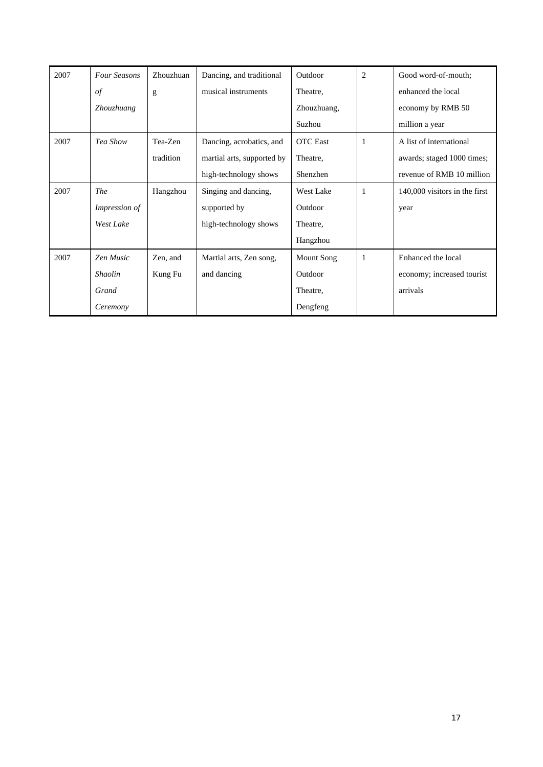| 2007 | <b>Four Seasons</b> | Zhouzhuan | Dancing, and traditional   | Outdoor           | 2            | Good word-of-mouth;           |
|------|---------------------|-----------|----------------------------|-------------------|--------------|-------------------------------|
|      | $\iota$             | g         | musical instruments        | Theatre,          |              | enhanced the local            |
|      | <i>Zhouzhuang</i>   |           |                            | Zhouzhuang,       |              | economy by RMB 50             |
|      |                     |           |                            | Suzhou            |              | million a year                |
| 2007 | Tea Show            | Tea-Zen   | Dancing, acrobatics, and   | <b>OTC</b> East   | $\mathbf{1}$ | A list of international       |
|      |                     | tradition | martial arts, supported by | Theatre,          |              | awards; staged 1000 times;    |
|      |                     |           | high-technology shows      | Shenzhen          |              | revenue of RMB 10 million     |
| 2007 | <b>The</b>          | Hangzhou  | Singing and dancing,       | West Lake         | $\mathbf{1}$ | 140,000 visitors in the first |
|      | Impression of       |           | supported by               | Outdoor           |              | year                          |
|      | West Lake           |           | high-technology shows      | Theatre,          |              |                               |
|      |                     |           |                            | Hangzhou          |              |                               |
| 2007 | Zen Music           | Zen, and  | Martial arts, Zen song,    | <b>Mount Song</b> | $\mathbf{1}$ | Enhanced the local            |
|      | Shaolin             | Kung Fu   | and dancing                | Outdoor           |              | economy; increased tourist    |
|      | Grand               |           |                            | Theatre,          |              | arrivals                      |
|      | Ceremony            |           |                            | Dengfeng          |              |                               |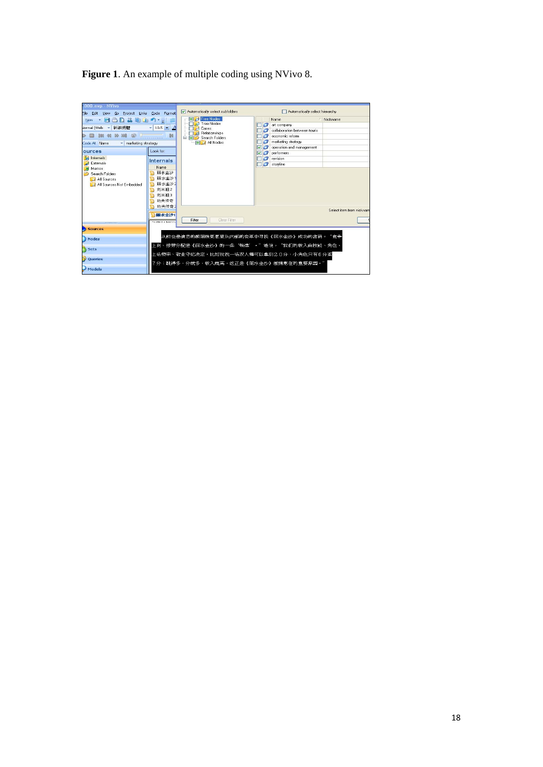**Figure 1**. An example of multiple coding using NVivo 8.

| 000.nvp - NVivo                                    |                           |                                         |                                                                |                          |  |
|----------------------------------------------------|---------------------------|-----------------------------------------|----------------------------------------------------------------|--------------------------|--|
| File Edit<br>View Go                               | Project Links Code Format | Automatically select subfolders         | Automatically select hierarchy                                 |                          |  |
| $H \triangle B$ is to be<br>New.<br>$\mathbf{v}_i$ | $\blacksquare$            | Free Nodes                              | Name                                                           | Nickname                 |  |
| 新細明體<br>Iormal (Web<br>٠                           | $10.5$ $\star$<br>٠       | Tree Nodes                              | D<br>art company                                               |                          |  |
|                                                    |                           | Cases<br>Relationships                  | collaboration between touris.<br>lo                            |                          |  |
| $DD$ $DD$ $50$<br>B44<br>$\mathcal{M}$             | <b>IN</b><br>.            | Search Folders<br>由                     | economic reform<br>O                                           |                          |  |
| Code At Name<br>• marketing strategy               |                           | All Nodes<br>ъı                         | marketing strategy<br>lo                                       |                          |  |
|                                                    | Look for:                 |                                         | $\circ$<br>$\overline{\mathbf{v}}$<br>operation and management |                          |  |
| ources                                             |                           |                                         | <b>VO</b><br>nerformers                                        |                          |  |
| Internals                                          | Internals                 |                                         | revision<br>O                                                  |                          |  |
| Externals                                          | Name                      |                                         | $\sigma$<br>storyline                                          |                          |  |
| 同<br>Memos<br>Search Folders                       | 丽水金沙                      |                                         |                                                                |                          |  |
| All Sources                                        | 丽水金沙1                     |                                         |                                                                |                          |  |
| All Sources Not Embedded                           | 丽水金沙2                     |                                         |                                                                |                          |  |
|                                                    | 刘三姐2                      |                                         |                                                                |                          |  |
|                                                    | 刘三姐3                      |                                         |                                                                |                          |  |
|                                                    | 功夫传奇                      |                                         |                                                                |                          |  |
|                                                    | 功夫传奇2                     |                                         |                                                                |                          |  |
|                                                    |                           |                                         |                                                                | Select item from nicknam |  |
|                                                    | 图水金沙1                     | <b>Clear Filter</b><br>Filter           |                                                                |                          |  |
|                                                    | TO ANNULLE BANKSYN        |                                         |                                                                |                          |  |
| <b>Sources</b>                                     |                           |                                         |                                                                |                          |  |
|                                                    |                           |                                         |                                                                |                          |  |
| <b>Nodes</b>                                       |                           | 从前也是演员的颜丽姝更愿意从内部的变革中寻找《丽水金沙》成功的密码。"竞争   |                                                                |                          |  |
|                                                    |                           | 上岗、按劳分配是《丽水金沙》的一条'铁律'。"她说,"我们的收入由技能、角色、 |                                                                |                          |  |
| Sets                                               |                           |                                         |                                                                |                          |  |
| <b>Queries</b>                                     |                           | 上场频率、敬业守纪决定。比如我跳一场双人舞可以拿到20分,小角色只有6分或   |                                                                |                          |  |
|                                                    |                           | 7分;跳得多,分就多,收入就高,这正是《丽水金沙》激情常在的重要原因。"    |                                                                |                          |  |
| Models                                             |                           |                                         |                                                                |                          |  |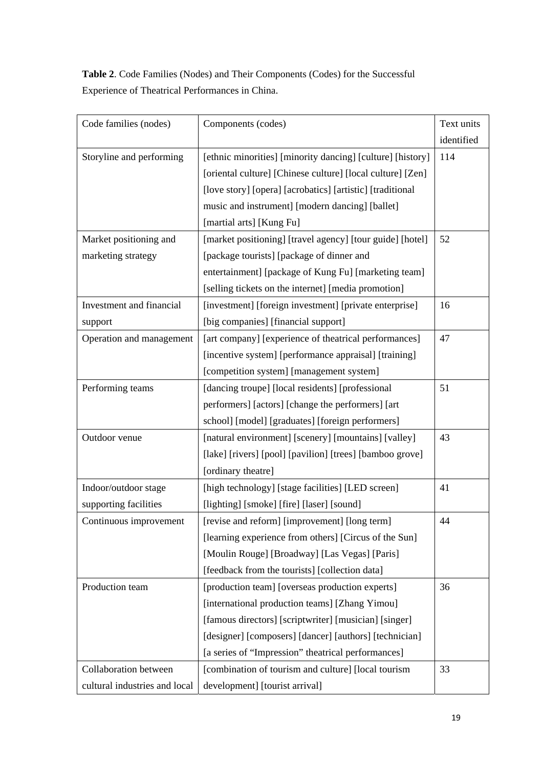**Table 2**. Code Families (Nodes) and Their Components (Codes) for the Successful Experience of Theatrical Performances in China.

| Code families (nodes)         | Components (codes)                                         | Text units |
|-------------------------------|------------------------------------------------------------|------------|
|                               |                                                            | identified |
| Storyline and performing      | [ethnic minorities] [minority dancing] [culture] [history] | 114        |
|                               | [oriental culture] [Chinese culture] [local culture] [Zen] |            |
|                               | [love story] [opera] [acrobatics] [artistic] [traditional  |            |
|                               | music and instrument] [modern dancing] [ballet]            |            |
|                               | [martial arts] [Kung Fu]                                   |            |
| Market positioning and        | [market positioning] [travel agency] [tour guide] [hotel]  | 52         |
| marketing strategy            | [package tourists] [package of dinner and                  |            |
|                               | entertainment] [package of Kung Fu] [marketing team]       |            |
|                               | [selling tickets on the internet] [media promotion]        |            |
| Investment and financial      | [investment] [foreign investment] [private enterprise]     | 16         |
| support                       | [big companies] [financial support]                        |            |
| Operation and management      | [art company] [experience of theatrical performances]      | 47         |
|                               | [incentive system] [performance appraisal] [training]      |            |
|                               | [competition system] [management system]                   |            |
| Performing teams              | [dancing troupe] [local residents] [professional           | 51         |
|                               | performers] [actors] [change the performers] [art          |            |
|                               | school] [model] [graduates] [foreign performers]           |            |
| Outdoor venue                 | [natural environment] [scenery] [mountains] [valley]       | 43         |
|                               | [lake] [rivers] [pool] [pavilion] [trees] [bamboo grove]   |            |
|                               | [ordinary theatre]                                         |            |
| Indoor/outdoor stage          | [high technology] [stage facilities] [LED screen]          | 41         |
| supporting facilities         | [lighting] [smoke] [fire] [laser] [sound]                  |            |
| Continuous improvement        | [revise and reform] [improvement] [long term]              | 44         |
|                               | [learning experience from others] [Circus of the Sun]      |            |
|                               | [Moulin Rouge] [Broadway] [Las Vegas] [Paris]              |            |
|                               | [feedback from the tourists] [collection data]             |            |
| Production team               | [production team] [overseas production experts]            | 36         |
|                               | [international production teams] [Zhang Yimou]             |            |
|                               | [famous directors] [scriptwriter] [musician] [singer]      |            |
|                               | [designer] [composers] [dancer] [authors] [technician]     |            |
|                               | [a series of "Impression" theatrical performances]         |            |
| Collaboration between         | [combination of tourism and culture] [local tourism        | 33         |
| cultural industries and local | development] [tourist arrival]                             |            |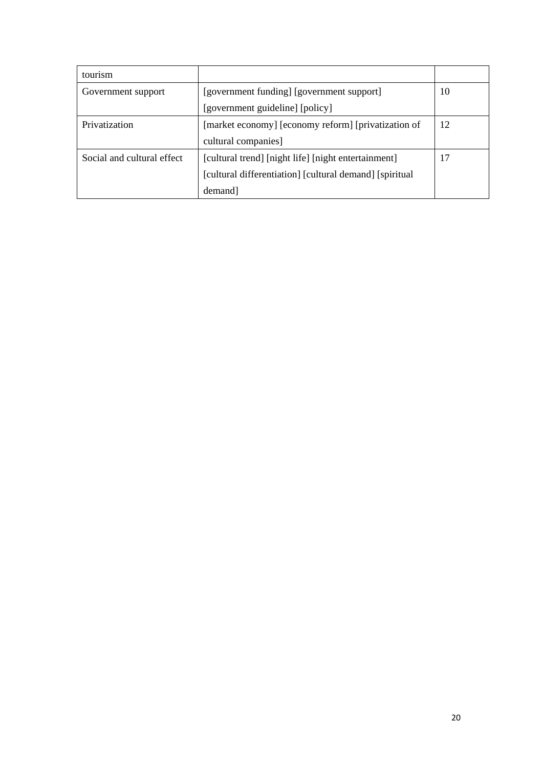| tourism                    |                                                          |    |
|----------------------------|----------------------------------------------------------|----|
| Government support         | [government funding] [government support]                | 10 |
|                            | [government guideline] [policy]                          |    |
| Privatization              | [market economy] [economy reform] [privatization of      | 12 |
|                            | cultural companies]                                      |    |
| Social and cultural effect | [cultural trend] [night life] [night entertainment]      | 17 |
|                            | [cultural differentiation] [cultural demand] [spiritual] |    |
|                            | demand]                                                  |    |